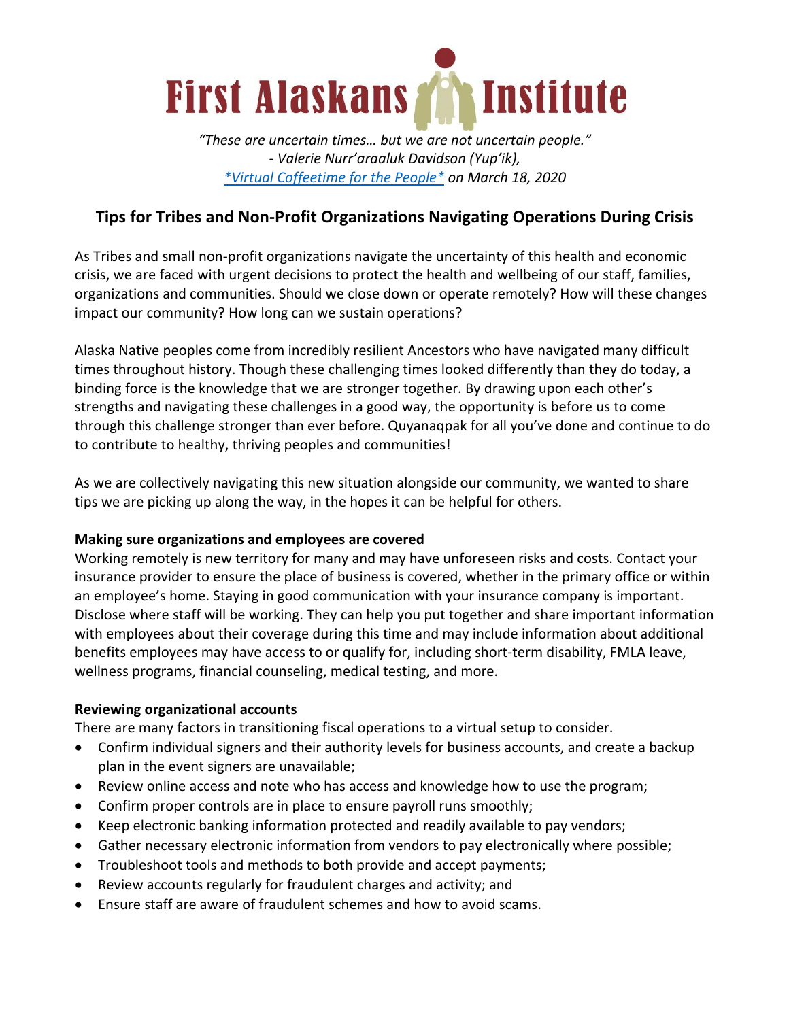

*"These are uncertain times… but we are not uncertain people." - Valerie Nurr'araaluk Davidson (Yup'ik), \*Virtual Coffeetime for the People\* on March 18, 2020*

# **Tips for Tribes and Non-Profit Organizations Navigating Operations During Crisis**

As Tribes and small non-profit organizations navigate the uncertainty of this health and economic crisis, we are faced with urgent decisions to protect the health and wellbeing of our staff, families, organizations and communities. Should we close down or operate remotely? How will these changes impact our community? How long can we sustain operations?

Alaska Native peoples come from incredibly resilient Ancestors who have navigated many difficult times throughout history. Though these challenging times looked differently than they do today, a binding force is the knowledge that we are stronger together. By drawing upon each other's strengths and navigating these challenges in a good way, the opportunity is before us to come through this challenge stronger than ever before. Quyanaqpak for all you've done and continue to do to contribute to healthy, thriving peoples and communities!

As we are collectively navigating this new situation alongside our community, we wanted to share tips we are picking up along the way, in the hopes it can be helpful for others.

#### **Making sure organizations and employees are covered**

Working remotely is new territory for many and may have unforeseen risks and costs. Contact your insurance provider to ensure the place of business is covered, whether in the primary office or within an employee's home. Staying in good communication with your insurance company is important. Disclose where staff will be working. They can help you put together and share important information with employees about their coverage during this time and may include information about additional benefits employees may have access to or qualify for, including short-term disability, FMLA leave, wellness programs, financial counseling, medical testing, and more.

#### **Reviewing organizational accounts**

There are many factors in transitioning fiscal operations to a virtual setup to consider.

- Confirm individual signers and their authority levels for business accounts, and create a backup plan in the event signers are unavailable;
- Review online access and note who has access and knowledge how to use the program;
- Confirm proper controls are in place to ensure payroll runs smoothly;
- Keep electronic banking information protected and readily available to pay vendors;
- Gather necessary electronic information from vendors to pay electronically where possible;
- Troubleshoot tools and methods to both provide and accept payments;
- Review accounts regularly for fraudulent charges and activity; and
- Ensure staff are aware of fraudulent schemes and how to avoid scams.